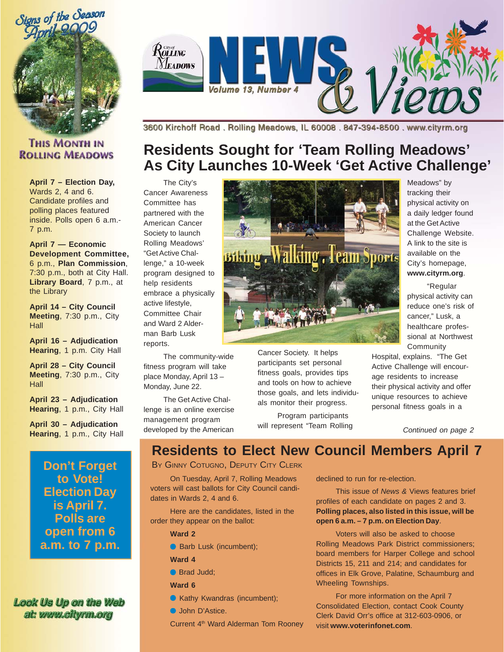

### **THIS MONTH IN ROLLING MEADOWS**

**April 7 – Election Day,** Wards 2, 4 and 6. Candidate profiles and polling places featured inside. Polls open 6 a.m.- 7 p.m.

**April 7 — Economic Development Committee,** 6 p.m., **Plan Commission**, 7:30 p.m., both at City Hall. **Library Board**, 7 p.m., at the Library

**April 14 – City Council Meeting**, 7:30 p.m., City **Hall** 

**April 16 – Adjudication Hearing**, 1 p.m. City Hall

**April 28 – City Council Meeting**, 7:30 p.m., City **Hall** 

**April 23 – Adjudication Hearing**, 1 p.m., City Hall

**April 30 – Adjudication Hearing**, 1 p.m., City Hall

> **Don't Forget to Vote! Election Day is April 7. Polls are open from 6 a.m. to 7 p.m.**

Look Us Up on the Web at: www.cityrm.org



3600 Kirchoff Road, Rolling Meadows, IL 60008, 847-394-8500, www.cityrm.org

## **Residents Sought for 'Team Rolling Meadows' As City Launches 10-Week 'Get Active Challenge'**

The City's Cancer Awareness Committee has partnered with the American Cancer Society to launch Rolling Meadows' "Get Active Challenge," a 10-week program designed to help residents embrace a physically active lifestyle, Committee Chair and Ward 2 Alderman Barb Lusk reports.

The community-wide fitness program will take place Monday, April 13 – Monday, June 22.

The Get Active Challenge is an online exercise management program developed by the American



Cancer Society. It helps participants set personal fitness goals, provides tips and tools on how to achieve those goals, and lets individuals monitor their progress.

Program participants will represent "Team Rolling

Meadows" by tracking their physical activity on a daily ledger found at the Get Active Challenge Website. A link to the site is available on the City's homepage, **www.cityrm.org**.

"Regular physical activity can reduce one's risk of cancer," Lusk, a healthcare professional at Northwest Community

Hospital, explains. "The Get Active Challenge will encourage residents to increase their physical activity and offer unique resources to achieve personal fitness goals in a

*Continued on page 2*

**Residents to Elect New Council Members April 7**

BY GINNY COTUGNO, DEPUTY CITY CLERK

On Tuesday, April 7, Rolling Meadows voters will cast ballots for City Council candidates in Wards 2, 4 and 6.

Here are the candidates, listed in the order they appear on the ballot:

**Ward 2**

- Barb Lusk (incumbent);
- **Ward 4**
- Brad Judd:
- **Ward 6**
- Kathy Kwandras (incumbent);
- John D'Astice.

Current 4<sup>th</sup> Ward Alderman Tom Rooney

declined to run for re-election.

This issue of *News &* Views features brief profiles of each candidate on pages 2 and 3. **Polling places, also listed in this issue, will be open 6 a.m. – 7 p.m. on Election Day**.

Voters will also be asked to choose Rolling Meadows Park District commissioners; board members for Harper College and school Districts 15, 211 and 214; and candidates for offices in Elk Grove, Palatine, Schaumburg and Wheeling Townships.

For more information on the April 7 Consolidated Election, contact Cook County Clerk David Orr's office at 312-603-0906, or visit **www.voterinfonet.com**.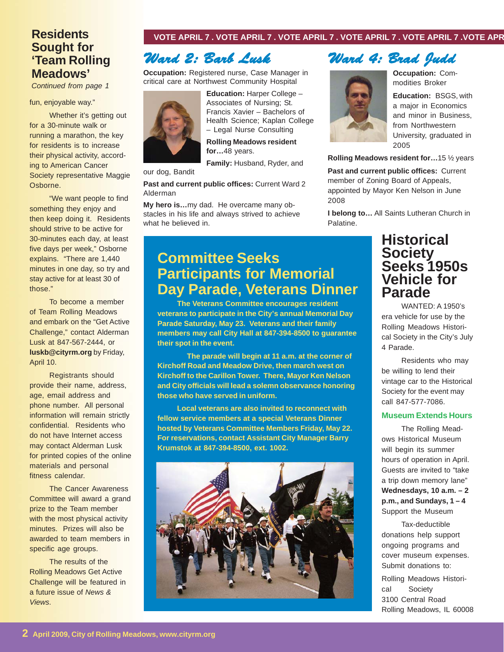### **Residents Sought for 'Team Rolling Meadows'**

*Continued from page 1*

#### fun, enjoyable way."

Whether it's getting out for a 30-minute walk or running a marathon, the key for residents is to increase their physical activity, according to American Cancer Society representative Maggie Osborne.

"We want people to find something they enjoy and then keep doing it. Residents should strive to be active for 30-minutes each day, at least five days per week," Osborne explains. "There are 1,440 minutes in one day, so try and stay active for at least 30 of those."

To become a member of Team Rolling Meadows and embark on the "Get Active Challenge," contact Alderman Lusk at 847-567-2444, or **luskb@cityrm.org** by Friday, April 10.

Registrants should provide their name, address, age, email address and phone number. All personal information will remain strictly confidential. Residents who do not have Internet access may contact Alderman Lusk for printed copies of the online materials and personal fitness calendar.

The Cancer Awareness Committee will award a grand prize to the Team member with the most physical activity minutes. Prizes will also be awarded to team members in specific age groups.

The results of the Rolling Meadows Get Active Challenge will be featured in a future issue of *News & Views*.

#### **VOTE APRIL 7 . VOTE APRIL 7 . VOTE APRIL 7 . VOTE APRIL 7 . VOTE APRIL 7 .VOTE APR**

## *Ward 2: Barb Lusk Barb Lusk*

**Occupation:** Registered nurse, Case Manager in critical care at Northwest Community Hospital



**Education:** Harper College – Associates of Nursing; St. Francis Xavier – Bachelors of Health Science; Kaplan College – Legal Nurse Consulting

**Rolling Meadows resident for…**48 years.

**Family:** Husband, Ryder, and

#### our dog, Bandit

**Past and current public offices:** Current Ward 2 Alderman

**My hero is…**my dad. He overcame many obstacles in his life and always strived to achieve what he believed in.

### **Committee Seeks Participants for Memorial Day Parade, Veterans Dinner**

**The Veterans Committee encourages resident veterans to participate in the City's annual Memorial Day Parade Saturday, May 23. Veterans and their family members may call City Hall at 847-394-8500 to guarantee their spot in the event.**

**The parade will begin at 11 a.m. at the corner of Kirchoff Road and Meadow Drive, then march west on Kirchoff to the Carillon Tower. There, Mayor Ken Nelson and City officials will lead a solemn observance honoring those who have served in uniform.**

**Local veterans are also invited to reconnect with fellow service members at a special Veterans Dinner hosted by Veterans Committee Members Friday, May 22. For reservations, contact Assistant City Manager Barry Krumstok at 847-394-8500, ext. 1002.**



### *Ward 4: Brad Judd Ward 4: Brad Judd*

**Occupation:** Commodities Broker

**Education:** BSGS, with a major in Economics and minor in Business, from Northwestern University, graduated in 2005

**Rolling Meadows resident for…**15 ½ years

**Past and current public offices:** Current member of Zoning Board of Appeals, appointed by Mayor Ken Nelson in June 2008

**I belong to…** All Saints Lutheran Church in Palatine.

### **Historical Society Seeks 1950s Vehicle for Parade**

WANTED: A 1950's era vehicle for use by the Rolling Meadows Historical Society in the City's July 4 Parade.

Residents who may be willing to lend their vintage car to the Historical Society for the event may call 847-577-7086.

#### **Museum Extends Hours**

The Rolling Meadows Historical Museum will begin its summer hours of operation in April. Guests are invited to "take a trip down memory lane" **Wednesdays, 10 a.m. – 2 p.m., and Sundays, 1 – 4** Support the Museum

Tax-deductible donations help support ongoing programs and cover museum expenses. Submit donations to:

Rolling Meadows Historical Society 3100 Central Road Rolling Meadows, IL 60008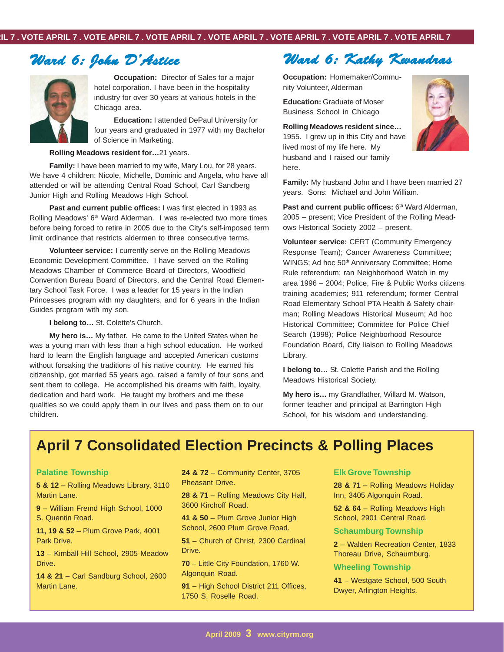### *Ward 6: John D'Astice Ward 6: John D'Astice*



**Occupation:** Director of Sales for a major hotel corporation. I have been in the hospitality industry for over 30 years at various hotels in the Chicago area.

**Education:** I attended DePaul University for four years and graduated in 1977 with my Bachelor of Science in Marketing.

#### **Rolling Meadows resident for…**21 years.

**Family:** I have been married to my wife, Mary Lou, for 28 years. We have 4 children: Nicole, Michelle, Dominic and Angela, who have all attended or will be attending Central Road School, Carl Sandberg Junior High and Rolling Meadows High School.

**Past and current public offices:** I was first elected in 1993 as Rolling Meadows' 6<sup>th</sup> Ward Alderman. I was re-elected two more times before being forced to retire in 2005 due to the City's self-imposed term limit ordinance that restricts aldermen to three consecutive terms.

**Volunteer service:** I currently serve on the Rolling Meadows Economic Development Committee. I have served on the Rolling Meadows Chamber of Commerce Board of Directors, Woodfield Convention Bureau Board of Directors, and the Central Road Elementary School Task Force. I was a leader for 15 years in the Indian Princesses program with my daughters, and for 6 years in the Indian Guides program with my son.

**I belong to…** St. Colette's Church.

**My hero is…** My father. He came to the United States when he was a young man with less than a high school education. He worked hard to learn the English language and accepted American customs without forsaking the traditions of his native country. He earned his citizenship, got married 55 years ago, raised a family of four sons and sent them to college. He accomplished his dreams with faith, loyalty, dedication and hard work. He taught my brothers and me these qualities so we could apply them in our lives and pass them on to our children.

### *Ward 6: Kathy Kwandras Ward 6: Kathy Kwandras*

**Occupation:** Homemaker/Community Volunteer, Alderman

**Education:** Graduate of Moser Business School in Chicago

**Rolling Meadows resident since…** 1955. I grew up in this City and have lived most of my life here. My husband and I raised our family here.



**Family:** My husband John and I have been married 27 years. Sons: Michael and John William.

Past and current public offices: 6<sup>th</sup> Ward Alderman, 2005 – present; Vice President of the Rolling Meadows Historical Society 2002 – present.

**Volunteer service:** CERT (Community Emergency Response Team); Cancer Awareness Committee; WINGS; Ad hoc 50<sup>th</sup> Anniversary Committee; Home Rule referendum; ran Neighborhood Watch in my area 1996 – 2004; Police, Fire & Public Works citizens training academies; 911 referendum; former Central Road Elementary School PTA Health & Safety chairman; Rolling Meadows Historical Museum; Ad hoc Historical Committee; Committee for Police Chief Search (1998); Police Neighborhood Resource Foundation Board, City liaison to Rolling Meadows Library.

**I belong to…** St. Colette Parish and the Rolling Meadows Historical Society.

**My hero is…** my Grandfather, Willard M. Watson, former teacher and principal at Barrington High School, for his wisdom and understanding.

### **April 7 Consolidated Election Precincts & Polling Places**

#### **Palatine Township**

**5 & 12** – Rolling Meadows Library, 3110 Martin Lane.

**9** – William Fremd High School, 1000 S. Quentin Road.

**11, 19 & 52** – Plum Grove Park, 4001 Park Drive.

**13** – Kimball Hill School, 2905 Meadow Drive.

**14 & 21** – Carl Sandburg School, 2600 Martin Lane.

**24 & 72** – Community Center, 3705 Pheasant Drive.

**28 & 71** – Rolling Meadows City Hall, 3600 Kirchoff Road.

**41 & 50** – Plum Grove Junior High School, 2600 Plum Grove Road.

**51** – Church of Christ, 2300 Cardinal Drive.

**70** – Little City Foundation, 1760 W. Algonquin Road.

**91** – High School District 211 Offices, 1750 S. Roselle Road.

#### **Elk Grove Township**

**28 & 71** – Rolling Meadows Holiday Inn, 3405 Algonquin Road.

**52 & 64** – Rolling Meadows High School, 2901 Central Road.

#### **Schaumburg Township**

**2** – Walden Recreation Center, 1833 Thoreau Drive, Schaumburg.

#### **Wheeling Township**

**41** – Westgate School, 500 South Dwyer, Arlington Heights.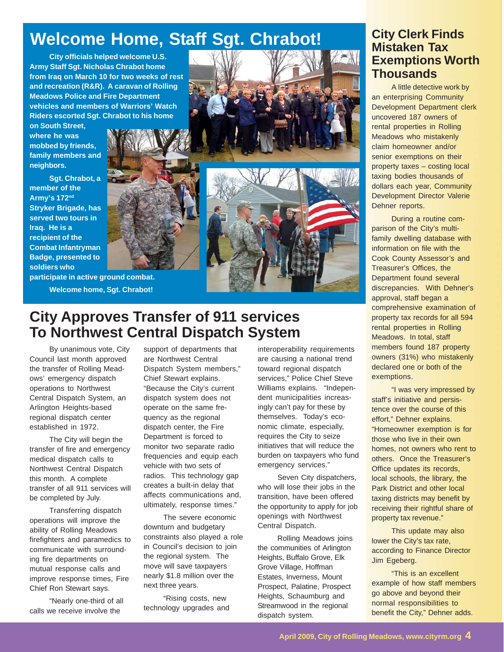# **Welcome Home, Staff Sgt. Chrabot!**

**City officials helped welcome U.S. Army Staff Sgt. Nicholas Chrabot home from Iraq on March 10 for two weeks of rest and recreation (R&R). A caravan of Rolling Meadows Police and Fire Department vehicles and members of Warriors' Watch Riders escorted Sgt. Chrabot to his home**

**on South Street, where he was mobbed by friends, family members and neighbors.**

**Sgt. Chrabot, a member of the Army's 172nd Stryker Brigade, has served two tours in Iraq. He is a recipient of the Combat Infantryman Badge, presented to soldiers who**

**participate in active ground combat. Welcome home, Sgt. Chrabot!**

## **City Approves Transfer of 911 services To Northwest Central Dispatch System**

By unanimous vote, City Council last month approved the transfer of Rolling Meadows' emergency dispatch operations to Northwest Central Dispatch System, an Arlington Heights-based regional dispatch center established in 1972.

The City will begin the transfer of fire and emergency medical dispatch calls to Northwest Central Dispatch this month. A complete transfer of all 911 services will be completed by July.

Transferring dispatch operations will improve the ability of Rolling Meadows firefighters and paramedics to communicate with surrounding fire departments on mutual response calls and improve response times, Fire Chief Ron Stewart says.

"Nearly one-third of all calls we receive involve the

support of departments that are Northwest Central Dispatch System members," Chief Stewart explains. "Because the City's current dispatch system does not operate on the same frequency as the regional dispatch center, the Fire Department is forced to monitor two separate radio frequencies and equip each vehicle with two sets of radios. This technology gap creates a built-in delay that affects communications and, ultimately, response times."

The severe economic downturn and budgetary constraints also played a role in Council's decision to join the regional system. The move will save taxpayers nearly \$1.8 million over the next three years.

"Rising costs, new technology upgrades and interoperability requirements are causing a national trend toward regional dispatch services," Police Chief Steve Williams explains. "Independent municipalities increasingly can't pay for these by themselves. Today's economic climate, especially, requires the City to seize initiatives that will reduce the burden on taxpayers who fund emergency services."

Seven City dispatchers, who will lose their jobs in the transition, have been offered the opportunity to apply for job openings with Northwest Central Dispatch.

Rolling Meadows joins the communities of Arlington Heights, Buffalo Grove, Elk Grove Village, Hoffman Estates, Inverness, Mount Prospect, Palatine, Prospect Heights, Schaumburg and Streamwood in the regional dispatch system.

### **City Clerk Finds Mistaken Tax Exemptions Worth Thousands**

A little detective work by an enterprising Community Development Department clerk uncovered 187 owners of rental properties in Rolling Meadows who mistakenly claim homeowner and/or senior exemptions on their property taxes – costing local taxing bodies thousands of dollars each year, Community Development Director Valerie Dehner reports.

During a routine comparison of the City's multifamily dwelling database with information on file with the Cook County Assessor's and Treasurer's Offices, the Department found several discrepancies. With Dehner's approval, staff began a comprehensive examination of property tax records for all 594 rental properties in Rolling Meadows. In total, staff members found 187 property owners (31%) who mistakenly declared one or both of the exemptions.

"I was very impressed by staff's initiative and persistence over the course of this effort," Dehner explains. "Homeowner exemption is for those who live in their own homes, not owners who rent to others. Once the Treasurer's Office updates its records, local schools, the library, the Park District and other local taxing districts may benefit by receiving their rightful share of property tax revenue."

This update may also lower the City's tax rate, according to Finance Director Jim Egeberg.

"This is an excellent example of how staff members go above and beyond their normal responsibilities to benefit the City," Dehner adds.

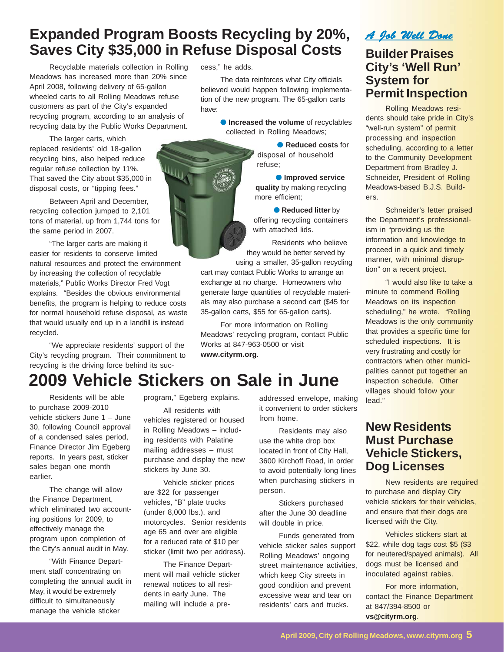## **Expanded Program Boosts Recycling by 20%, Saves City \$35,000 in Refuse Disposal Costs**

Щί

Recyclable materials collection in Rolling Meadows has increased more than 20% since April 2008, following delivery of 65-gallon wheeled carts to all Rolling Meadows refuse customers as part of the City's expanded recycling program, according to an analysis of recycling data by the Public Works Department.

The larger carts, which replaced residents' old 18-gallon recycling bins, also helped reduce regular refuse collection by 11%. That saved the City about \$35,000 in disposal costs, or "tipping fees."

Between April and December, recycling collection jumped to 2,101 tons of material, up from 1,744 tons for the same period in 2007.

"The larger carts are making it easier for residents to conserve limited natural resources and protect the environment by increasing the collection of recyclable materials," Public Works Director Fred Vogt explains. "Besides the obvious environmental benefits, the program is helping to reduce costs for normal household refuse disposal, as waste that would usually end up in a landfill is instead recycled.

"We appreciate residents' support of the City's recycling program. Their commitment to recycling is the driving force behind its success," he adds.

The data reinforces what City officials believed would happen following implementation of the new program. The 65-gallon carts have:

> **• Increased the volume** of recyclables collected in Rolling Meadows;

> > ● **Reduced costs** for disposal of household refuse;

● **Improved service quality** by making recycling more efficient;

● **Reduced litter** by offering recycling containers with attached lids.

Residents who believe they would be better served by using a smaller, 35-gallon recycling

cart may contact Public Works to arrange an exchange at no charge. Homeowners who generate large quantities of recyclable materials may also purchase a second cart (\$45 for 35-gallon carts, \$55 for 65-gallon carts).

For more information on Rolling Meadows' recycling program, contact Public Works at 847-963-0500 or visit **www.cityrm.org**.

### *A Job Well Done A Well*  **Builder Praises**

## **City's 'Well Run' System for Permit Inspection**

Rolling Meadows residents should take pride in City's "well-run system" of permit processing and inspection scheduling, according to a letter to the Community Development Department from Bradley J. Schneider, President of Rolling Meadows-based B.J.S. Builders.

Schneider's letter praised the Department's professionalism in "providing us the information and knowledge to proceed in a quick and timely manner, with minimal disruption" on a recent project.

"I would also like to take a minute to commend Rolling Meadows on its inspection scheduling," he wrote. "Rolling Meadows is the only community that provides a specific time for scheduled inspections. It is very frustrating and costly for contractors when other municipalities cannot put together an inspection schedule. Other villages should follow your lead."

### **New Residents Must Purchase Vehicle Stickers, Dog Licenses**

New residents are required to purchase and display City vehicle stickers for their vehicles, and ensure that their dogs are licensed with the City.

Vehicles stickers start at \$22, while dog tags cost \$5 (\$3 for neutered/spayed animals). All dogs must be licensed and inoculated against rabies.

For more information, contact the Finance Department at 847/394-8500 or **vs@cityrm.org**.

# **2009 Vehicle Stickers on Sale in June**

Residents will be able to purchase 2009-2010 vehicle stickers June 1 – June 30, following Council approval of a condensed sales period, Finance Director Jim Egeberg reports. In years past, sticker sales began one month earlier.

The change will allow the Finance Department, which eliminated two accounting positions for 2009, to effectively manage the program upon completion of the City's annual audit in May.

"With Finance Department staff concentrating on completing the annual audit in May, it would be extremely difficult to simultaneously manage the vehicle sticker

program," Egeberg explains. All residents with

vehicles registered or housed in Rolling Meadows – including residents with Palatine mailing addresses – must purchase and display the new stickers by June 30.

Vehicle sticker prices are \$22 for passenger vehicles, "B" plate trucks (under 8,000 lbs.), and motorcycles. Senior residents age 65 and over are eligible for a reduced rate of \$10 per sticker (limit two per address).

The Finance Department will mail vehicle sticker renewal notices to all residents in early June. The mailing will include a preaddressed envelope, making it convenient to order stickers from home.

Residents may also use the white drop box located in front of City Hall, 3600 Kirchoff Road, in order to avoid potentially long lines when purchasing stickers in person.

Stickers purchased after the June 30 deadline will double in price.

Funds generated from vehicle sticker sales support Rolling Meadows' ongoing street maintenance activities, which keep City streets in good condition and prevent excessive wear and tear on residents' cars and trucks.